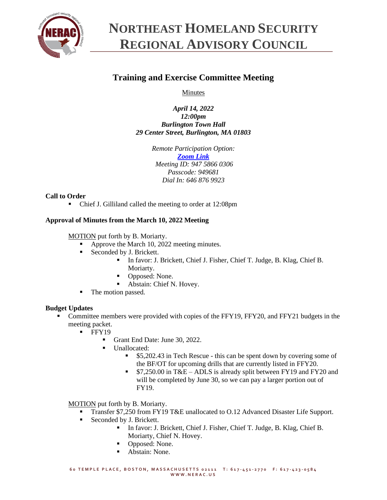

# **NORTHEAST HOMELAND SECURITY REGIONAL ADVISORY COUNCIL**

# **Training and Exercise Committee Meeting**

Minutes

*April 14, 2022 12:00pm Burlington Town Hall 29 Center Street, Burlington, MA 01803*

> *Remote Participation Option: [Zoom Link](https://zoom.us/j/94758660306?pwd=SzNhc1dNd0ZYNGg4c0pmalJ1bXVMdz09) Meeting ID: 947 5866 0306 Passcode: 949681 Dial In: 646 876 9923*

# **Call to Order**

■ Chief J. Gilliland called the meeting to order at 12:08pm

# **Approval of Minutes from the March 10, 2022 Meeting**

MOTION put forth by B. Moriarty.

- Approve the March 10, 2022 meeting minutes.
- Seconded by J. Brickett.
	- In favor: J. Brickett, Chief J. Fisher, Chief T. Judge, B. Klag, Chief B. Moriarty.
	- Opposed: None.
	- Abstain: Chief N. Hovey.
- The motion passed.

### **Budget Updates**

- Committee members were provided with copies of the FFY19, FFY20, and FFY21 budgets in the meeting packet.
	- $\blacksquare$  FFY19
		- Grant End Date: June 30, 2022.
		- Unallocated:
			- \$5,202.43 in Tech Rescue this can be spent down by covering some of the BF/OT for upcoming drills that are currently listed in FFY20.
			- \$7,250.00 in T&E ADLS is already split between FY19 and FY20 and will be completed by June 30, so we can pay a larger portion out of FY19.

MOTION put forth by B. Moriarty.

- Transfer \$7,250 from FY19 T&E unallocated to O.12 Advanced Disaster Life Support.
- Seconded by J. Brickett.
	- In favor: J. Brickett, Chief J. Fisher, Chief T. Judge, B. Klag, Chief B. Moriarty, Chief N. Hovey.
	- Opposed: None.
	- Abstain: None.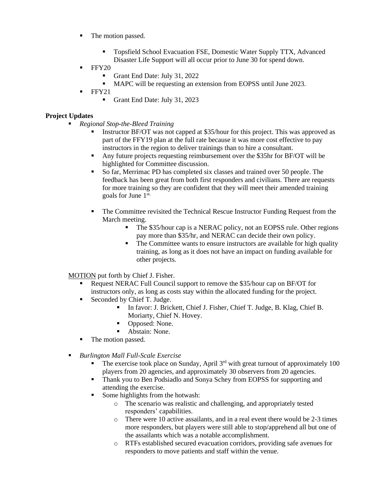- The motion passed.
	- Topsfield School Evacuation FSE, Domestic Water Supply TTX, Advanced Disaster Life Support will all occur prior to June 30 for spend down.
- $\blacksquare$  FFY20
	- **•** Grant End Date: July 31, 2022
	- MAPC will be requesting an extension from EOPSS until June 2023.
- FFY21
	- Grant End Date: July 31, 2023

### **Project Updates**

- *Regional Stop-the-Bleed Training*
	- Instructor BF/OT was not capped at \$35/hour for this project. This was approved as part of the FFY19 plan at the full rate because it was more cost effective to pay instructors in the region to deliver trainings than to hire a consultant.
	- Any future projects requesting reimbursement over the \$35hr for BF/OT will be highlighted for Committee discussion.
	- So far, Merrimac PD has completed six classes and trained over 50 people. The feedback has been great from both first responders and civilians. There are requests for more training so they are confident that they will meet their amended training goals for June 1st.
	- The Committee revisited the Technical Rescue Instructor Funding Request from the March meeting.
		- **•** The \$35/hour cap is a NERAC policy, not an EOPSS rule. Other regions pay more than \$35/hr, and NERAC can decide their own policy.
		- The Committee wants to ensure instructors are available for high quality training, as long as it does not have an impact on funding available for other projects.

MOTION put forth by Chief J. Fisher.

- **Request NERAC Full Council support to remove the \$35/hour cap on BF/OT for** instructors only, as long as costs stay within the allocated funding for the project.
- Seconded by Chief T. Judge.
	- In favor: J. Brickett, Chief J. Fisher, Chief T. Judge, B. Klag, Chief B. Moriarty, Chief N. Hovey.
	- Opposed: None.
	- Abstain: None.
- The motion passed.
- *Burlington Mall Full-Scale Exercise*
	- $\blacksquare$  The exercise took place on Sunday, April 3<sup>rd</sup> with great turnout of approximately 100 players from 20 agencies, and approximately 30 observers from 20 agencies.
	- **•** Thank you to Ben Podsiadlo and Sonya Schey from EOPSS for supporting and attending the exercise.
	- Some highlights from the hotwash:
		- o The scenario was realistic and challenging, and appropriately tested responders' capabilities.
		- o There were 10 active assailants, and in a real event there would be 2-3 times more responders, but players were still able to stop/apprehend all but one of the assailants which was a notable accomplishment.
		- o RTFs established secured evacuation corridors, providing safe avenues for responders to move patients and staff within the venue.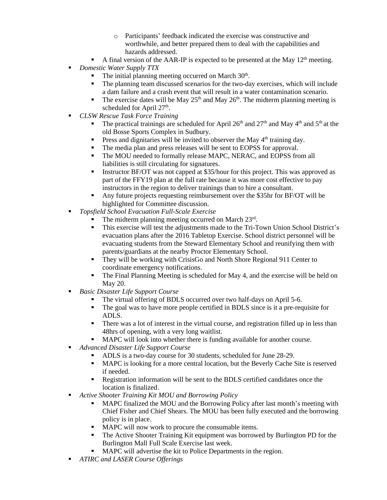- o Participants' feedback indicated the exercise was constructive and worthwhile, and better prepared them to deal with the capabilities and hazards addressed.
- **•** A final version of the AAR-IP is expected to be presented at the May  $12<sup>th</sup>$  meeting.
- *Domestic Water Supply TTX* 
	- **•** The initial planning meeting occurred on March 30<sup>th</sup>.
	- The planning team discussed scenarios for the two-day exercises, which will include a dam failure and a crash event that will result in a water contamination scenario.
	- **•** The exercise dates will be May  $25<sup>th</sup>$  and May  $26<sup>th</sup>$ . The midterm planning meeting is scheduled for April 27<sup>th</sup>.
- *CLSW Rescue Task Force Training*
	- **•** The practical trainings are scheduled for April 26<sup>th</sup> and 27<sup>th</sup> and May 4<sup>th</sup> and 5<sup>th</sup> at the old Bosse Sports Complex in Sudbury.
	- **•** Press and dignitaries will be invited to observer the May  $4<sup>th</sup>$  training day.
	- The media plan and press releases will be sent to EOPSS for approval.
	- **•** The MOU needed to formally release MAPC, NERAC, and EOPSS from all liabilities is still circulating for signatures.
	- Instructor BF/OT was not capped at \$35/hour for this project. This was approved as part of the FFY19 plan at the full rate because it was more cost effective to pay instructors in the region to deliver trainings than to hire a consultant.
	- Any future projects requesting reimbursement over the \$35hr for BF/OT will be highlighted for Committee discussion.
- *Topsfield School Evacuation Full-Scale Exercise*
	- The midterm planning meeting occurred on March 23rd.
	- This exercise will test the adjustments made to the Tri-Town Union School District's evacuation plans after the 2016 Tabletop Exercise. School district personnel will be evacuating students from the Steward Elementary School and reunifying them with parents/guardians at the nearby Proctor Elementary School.
	- They will be working with CrisisGo and North Shore Regional 911 Center to coordinate emergency notifications.
	- **•** The Final Planning Meeting is scheduled for May 4, and the exercise will be held on May 20.
- *Basic Disaster Life Support Course*
	- The virtual offering of BDLS occurred over two half-days on April 5-6.
	- The goal was to have more people certified in BDLS since is it a pre-requisite for ADLS.
	- **•** There was a lot of interest in the virtual course, and registration filled up in less than 48hrs of opening, with a very long waitlist.
	- MAPC will look into whether there is funding available for another course.
- *Advanced Disaster Life Support Course*
	- ADLS is a two-day course for 30 students, scheduled for June 28-29.
	- **MAPC** is looking for a more central location, but the Beverly Cache Site is reserved if needed.
	- **•** Registration information will be sent to the BDLS certified candidates once the location is finalized.
- *Active Shooter Training Kit MOU and Borrowing Policy*
	- MAPC finalized the MOU and the Borrowing Policy after last month's meeting with Chief Fisher and Chief Shears. The MOU has been fully executed and the borrowing policy is in place.
	- MAPC will now work to procure the consumable items.
	- The Active Shooter Training Kit equipment was borrowed by Burlington PD for the Burlington Mall Full Scale Exercise last week.
	- MAPC will advertise the kit to Police Departments in the region.
- *ATIRC and LASER Course Offerings*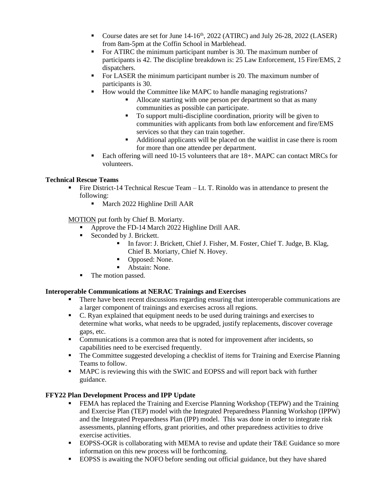- Course dates are set for June  $14-16<sup>th</sup>$ , 2022 (ATIRC) and July 26-28, 2022 (LASER) from 8am-5pm at the Coffin School in Marblehead.
- For ATIRC the minimum participant number is 30. The maximum number of participants is 42. The discipline breakdown is: 25 Law Enforcement, 15 Fire/EMS, 2 dispatchers.
- For LASER the minimum participant number is 20. The maximum number of participants is 30.
- How would the Committee like MAPC to handle managing registrations?
	- Allocate starting with one person per department so that as many communities as possible can participate.
	- To support multi-discipline coordination, priority will be given to communities with applicants from both law enforcement and fire/EMS services so that they can train together.
	- Additional applicants will be placed on the waitlist in case there is room for more than one attendee per department.
- Each offering will need 10-15 volunteers that are 18+. MAPC can contact MRCs for volunteers.

# **Technical Rescue Teams**

- Fire District-14 Technical Rescue Team Lt. T. Rinoldo was in attendance to present the following:
	- **■** March 2022 Highline Drill AAR

MOTION put forth by Chief B. Moriarty.

- Approve the FD-14 March 2022 Highline Drill AAR.
- Seconded by J. Brickett.
	- In favor: J. Brickett, Chief J. Fisher, M. Foster, Chief T. Judge, B. Klag, Chief B. Moriarty, Chief N. Hovey.
	- Opposed: None.
	- Abstain: None.
- The motion passed.

# **Interoperable Communications at NERAC Trainings and Exercises**

- There have been recent discussions regarding ensuring that interoperable communications are a larger component of trainings and exercises across all regions.
- C. Ryan explained that equipment needs to be used during trainings and exercises to determine what works, what needs to be upgraded, justify replacements, discover coverage gaps, etc.
- Communications is a common area that is noted for improvement after incidents, so capabilities need to be exercised frequently.
- The Committee suggested developing a checklist of items for Training and Exercise Planning Teams to follow.
- MAPC is reviewing this with the SWIC and EOPSS and will report back with further guidance.

# **FFY22 Plan Development Process and IPP Update**

- **FEMA** has replaced the Training and Exercise Planning Workshop (TEPW) and the Training and Exercise Plan (TEP) model with the Integrated Preparedness Planning Workshop (IPPW) and the Integrated Preparedness Plan (IPP) model. This was done in order to integrate risk assessments, planning efforts, grant priorities, and other preparedness activities to drive exercise activities.
- EOPSS-OGR is collaborating with MEMA to revise and update their T&E Guidance so more information on this new process will be forthcoming.
- **EOPSS** is awaiting the NOFO before sending out official guidance, but they have shared